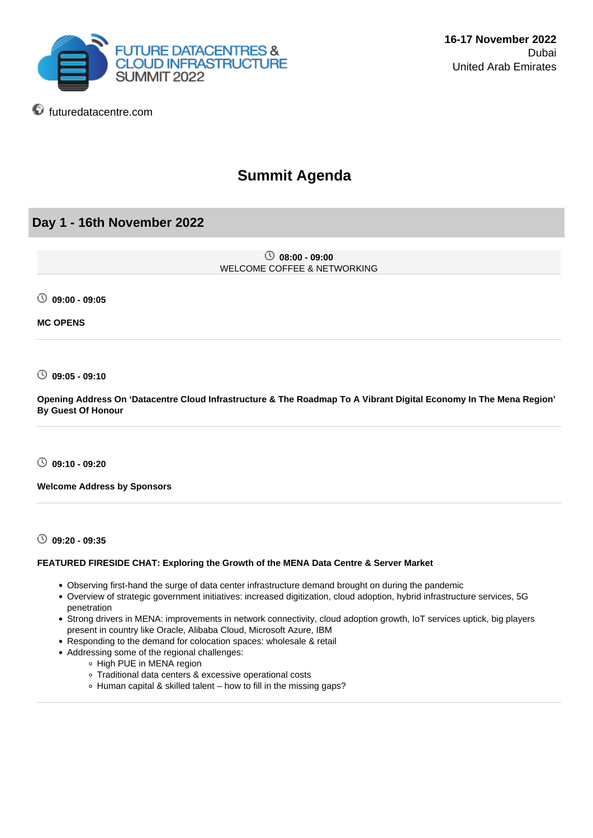

# **Summit Agenda**

# **Day 1 - 16th November 2022**

**futuredatacentre.com** 

 **08:00 - 09:00** WELCOME COFFEE & NETWORKING

**09:00 - 09:05**

**MC OPENS**

**09:05 - 09:10**

**Opening Address On 'Datacentre Cloud Infrastructure & The Roadmap To A Vibrant Digital Economy In The Mena Region' By Guest Of Honour**

**09:10 - 09:20**

**Welcome Address by Sponsors**

**09:20 - 09:35**

### **FEATURED FIRESIDE CHAT: Exploring the Growth of the MENA Data Centre & Server Market**

- Observing first-hand the surge of data center infrastructure demand brought on during the pandemic
- Overview of strategic government initiatives: increased digitization, cloud adoption, hybrid infrastructure services, 5G penetration
- Strong drivers in MENA: improvements in network connectivity, cloud adoption growth, IoT services uptick, big players present in country like Oracle, Alibaba Cloud, Microsoft Azure, IBM
- Responding to the demand for colocation spaces: wholesale & retail
- Addressing some of the regional challenges:
	- High PUE in MENA region
	- Traditional data centers & excessive operational costs
	- Human capital & skilled talent how to fill in the missing gaps?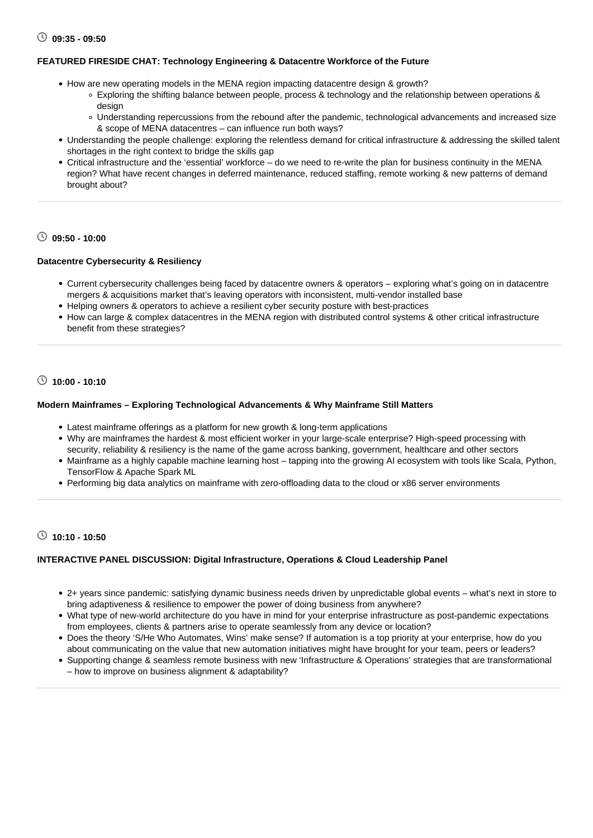### **FEATURED FIRESIDE CHAT: Technology Engineering & Datacentre Workforce of the Future**

- How are new operating models in the MENA region impacting datacentre design & growth?
	- Exploring the shifting balance between people, process & technology and the relationship between operations & desian
	- Understanding repercussions from the rebound after the pandemic, technological advancements and increased size & scope of MENA datacentres – can influence run both ways?
- Understanding the people challenge: exploring the relentless demand for critical infrastructure & addressing the skilled talent shortages in the right context to bridge the skills gap
- Critical infrastructure and the 'essential' workforce do we need to re-write the plan for business continuity in the MENA region? What have recent changes in deferred maintenance, reduced staffing, remote working & new patterns of demand brought about?

# **09:50 - 10:00**

### **Datacentre Cybersecurity & Resiliency**

- Current cybersecurity challenges being faced by datacentre owners & operators exploring what's going on in datacentre mergers & acquisitions market that's leaving operators with inconsistent, multi-vendor installed base
- Helping owners & operators to achieve a resilient cyber security posture with best-practices
- How can large & complex datacentres in the MENA region with distributed control systems & other critical infrastructure benefit from these strategies?

# **10:00 - 10:10**

### **Modern Mainframes – Exploring Technological Advancements & Why Mainframe Still Matters**

- Latest mainframe offerings as a platform for new growth & long-term applications
- Why are mainframes the hardest & most efficient worker in your large-scale enterprise? High-speed processing with security, reliability & resiliency is the name of the game across banking, government, healthcare and other sectors
- Mainframe as a highly capable machine learning host tapping into the growing AI ecosystem with tools like Scala, Python, TensorFlow & Apache Spark ML
- Performing big data analytics on mainframe with zero-offloading data to the cloud or x86 server environments

# **10:10 - 10:50**

### **INTERACTIVE PANEL DISCUSSION: Digital Infrastructure, Operations & Cloud Leadership Panel**

- 2+ years since pandemic: satisfying dynamic business needs driven by unpredictable global events what's next in store to bring adaptiveness & resilience to empower the power of doing business from anywhere?
- What type of new-world architecture do you have in mind for your enterprise infrastructure as post-pandemic expectations from employees, clients & partners arise to operate seamlessly from any device or location?
- Does the theory 'S/He Who Automates, Wins' make sense? If automation is a top priority at your enterprise, how do you about communicating on the value that new automation initiatives might have brought for your team, peers or leaders?
- Supporting change & seamless remote business with new 'Infrastructure & Operations' strategies that are transformational – how to improve on business alignment & adaptability?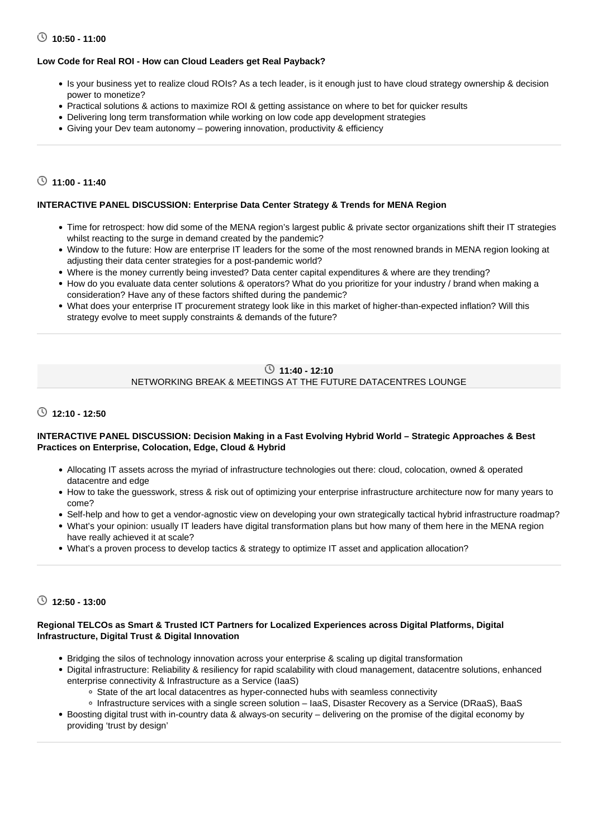# **10:50 - 11:00**

### **Low Code for Real ROI - How can Cloud Leaders get Real Payback?**

- Is your business yet to realize cloud ROIs? As a tech leader, is it enough just to have cloud strategy ownership & decision power to monetize?
- Practical solutions & actions to maximize ROI & getting assistance on where to bet for quicker results
- Delivering long term transformation while working on low code app development strategies
- Giving your Dev team autonomy powering innovation, productivity & efficiency

# **11:00 - 11:40**

# **INTERACTIVE PANEL DISCUSSION: Enterprise Data Center Strategy & Trends for MENA Region**

- Time for retrospect: how did some of the MENA region's largest public & private sector organizations shift their IT strategies whilst reacting to the surge in demand created by the pandemic?
- Window to the future: How are enterprise IT leaders for the some of the most renowned brands in MENA region looking at adjusting their data center strategies for a post-pandemic world?
- Where is the money currently being invested? Data center capital expenditures & where are they trending?
- How do you evaluate data center solutions & operators? What do you prioritize for your industry / brand when making a consideration? Have any of these factors shifted during the pandemic?
- What does your enterprise IT procurement strategy look like in this market of higher-than-expected inflation? Will this strategy evolve to meet supply constraints & demands of the future?

# **11:40 - 12:10** NETWORKING BREAK & MEETINGS AT THE FUTURE DATACENTRES LOUNGE

# **12:10 - 12:50**

### **INTERACTIVE PANEL DISCUSSION: Decision Making in a Fast Evolving Hybrid World – Strategic Approaches & Best Practices on Enterprise, Colocation, Edge, Cloud & Hybrid**

- Allocating IT assets across the myriad of infrastructure technologies out there: cloud, colocation, owned & operated datacentre and edge
- How to take the guesswork, stress & risk out of optimizing your enterprise infrastructure architecture now for many years to come?
- Self-help and how to get a vendor-agnostic view on developing your own strategically tactical hybrid infrastructure roadmap?
- What's your opinion: usually IT leaders have digital transformation plans but how many of them here in the MENA region have really achieved it at scale?
- What's a proven process to develop tactics & strategy to optimize IT asset and application allocation?

## **12:50 - 13:00**

### **Regional TELCOs as Smart & Trusted ICT Partners for Localized Experiences across Digital Platforms, Digital Infrastructure, Digital Trust & Digital Innovation**

- Bridging the silos of technology innovation across your enterprise & scaling up digital transformation
- Digital infrastructure: Reliability & resiliency for rapid scalability with cloud management, datacentre solutions, enhanced enterprise connectivity & Infrastructure as a Service (IaaS)
	- o State of the art local datacentres as hyper-connected hubs with seamless connectivity
	- Infrastructure services with a single screen solution IaaS, Disaster Recovery as a Service (DRaaS), BaaS
- Boosting digital trust with in-country data & always-on security delivering on the promise of the digital economy by providing 'trust by design'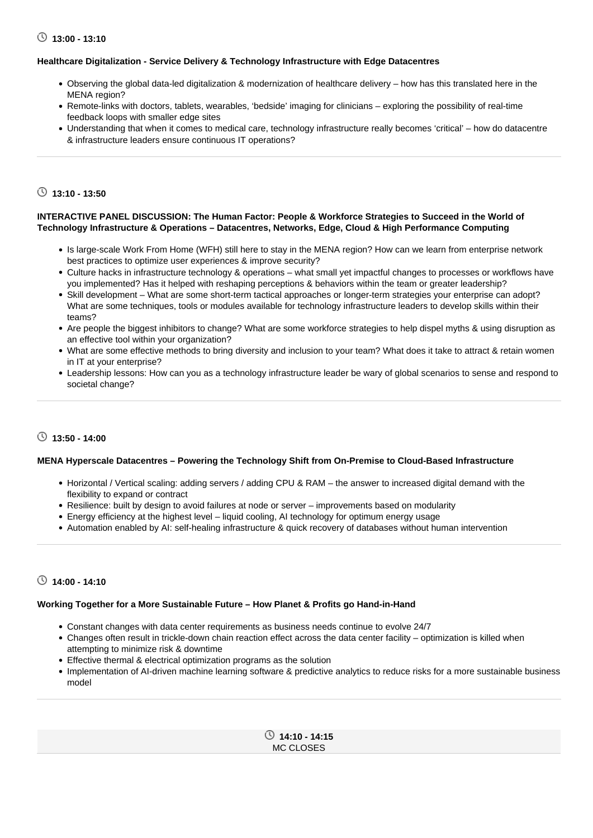# **13:00 - 13:10**

### **Healthcare Digitalization - Service Delivery & Technology Infrastructure with Edge Datacentres**

- Observing the global data-led digitalization & modernization of healthcare delivery how has this translated here in the MENA region?
- Remote-links with doctors, tablets, wearables, 'bedside' imaging for clinicians exploring the possibility of real-time feedback loops with smaller edge sites
- Understanding that when it comes to medical care, technology infrastructure really becomes 'critical' how do datacentre & infrastructure leaders ensure continuous IT operations?

# **13:10 - 13:50**

### **INTERACTIVE PANEL DISCUSSION: The Human Factor: People & Workforce Strategies to Succeed in the World of Technology Infrastructure & Operations – Datacentres, Networks, Edge, Cloud & High Performance Computing**

- Is large-scale Work From Home (WFH) still here to stay in the MENA region? How can we learn from enterprise network best practices to optimize user experiences & improve security?
- Culture hacks in infrastructure technology & operations what small yet impactful changes to processes or workflows have you implemented? Has it helped with reshaping perceptions & behaviors within the team or greater leadership?
- Skill development What are some short-term tactical approaches or longer-term strategies your enterprise can adopt? What are some techniques, tools or modules available for technology infrastructure leaders to develop skills within their teams?
- Are people the biggest inhibitors to change? What are some workforce strategies to help dispel myths & using disruption as an effective tool within your organization?
- What are some effective methods to bring diversity and inclusion to your team? What does it take to attract & retain women in IT at your enterprise?
- Leadership lessons: How can you as a technology infrastructure leader be wary of global scenarios to sense and respond to societal change?

# **13:50 - 14:00**

### **MENA Hyperscale Datacentres – Powering the Technology Shift from On-Premise to Cloud-Based Infrastructure**

- Horizontal / Vertical scaling: adding servers / adding CPU & RAM the answer to increased digital demand with the flexibility to expand or contract
- Resilience: built by design to avoid failures at node or server improvements based on modularity
- Energy efficiency at the highest level liquid cooling, AI technology for optimum energy usage
- Automation enabled by AI: self-healing infrastructure & quick recovery of databases without human intervention

# **14:00 - 14:10**

### **Working Together for a More Sustainable Future – How Planet & Profits go Hand-in-Hand**

- Constant changes with data center requirements as business needs continue to evolve 24/7
- Changes often result in trickle-down chain reaction effect across the data center facility optimization is killed when attempting to minimize risk & downtime
- Effective thermal & electrical optimization programs as the solution
- Implementation of AI-driven machine learning software & predictive analytics to reduce risks for a more sustainable business model

 **14:10 - 14:15** MC CLOSES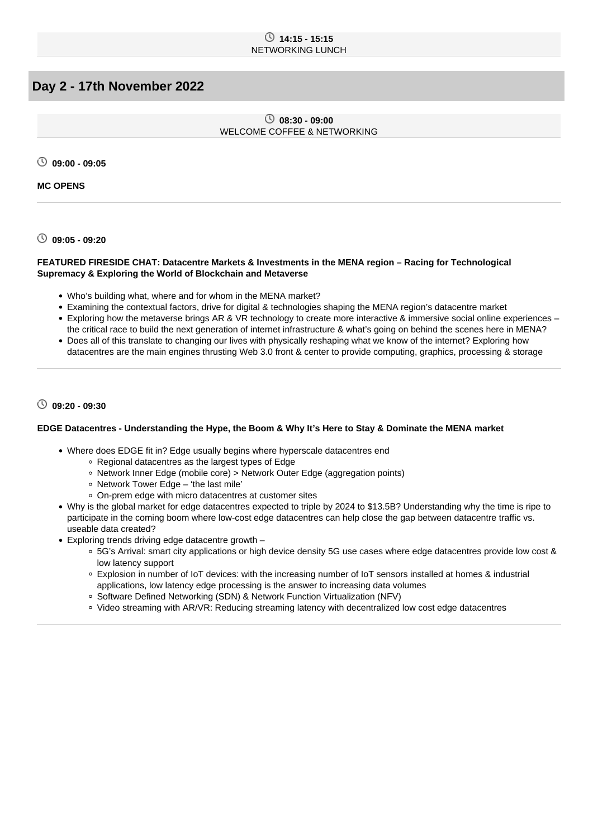### **14:15 - 15:15** NETWORKING LUNCH

# **Day 2 - 17th November 2022**

 **08:30 - 09:00** WELCOME COFFEE & NETWORKING

**09:00 - 09:05**

**MC OPENS**

**09:05 - 09:20**

### **FEATURED FIRESIDE CHAT: Datacentre Markets & Investments in the MENA region – Racing for Technological Supremacy & Exploring the World of Blockchain and Metaverse**

- Who's building what, where and for whom in the MENA market?
- Examining the contextual factors, drive for digital & technologies shaping the MENA region's datacentre market
- Exploring how the metaverse brings AR & VR technology to create more interactive & immersive social online experiences the critical race to build the next generation of internet infrastructure & what's going on behind the scenes here in MENA?
- Does all of this translate to changing our lives with physically reshaping what we know of the internet? Exploring how datacentres are the main engines thrusting Web 3.0 front & center to provide computing, graphics, processing & storage

### **09:20 - 09:30**

### **EDGE Datacentres - Understanding the Hype, the Boom & Why It's Here to Stay & Dominate the MENA market**

- Where does EDGE fit in? Edge usually begins where hyperscale datacentres end
	- Regional datacentres as the largest types of Edge
	- Network Inner Edge (mobile core) > Network Outer Edge (aggregation points)
	- Network Tower Edge 'the last mile'
	- On-prem edge with micro datacentres at customer sites
- Why is the global market for edge datacentres expected to triple by 2024 to \$13.5B? Understanding why the time is ripe to participate in the coming boom where low-cost edge datacentres can help close the gap between datacentre traffic vs. useable data created?
- Exploring trends driving edge datacentre growth
	- 5G's Arrival: smart city applications or high device density 5G use cases where edge datacentres provide low cost & low latency support
	- Explosion in number of IoT devices: with the increasing number of IoT sensors installed at homes & industrial applications, low latency edge processing is the answer to increasing data volumes
	- Software Defined Networking (SDN) & Network Function Virtualization (NFV)
	- Video streaming with AR/VR: Reducing streaming latency with decentralized low cost edge datacentres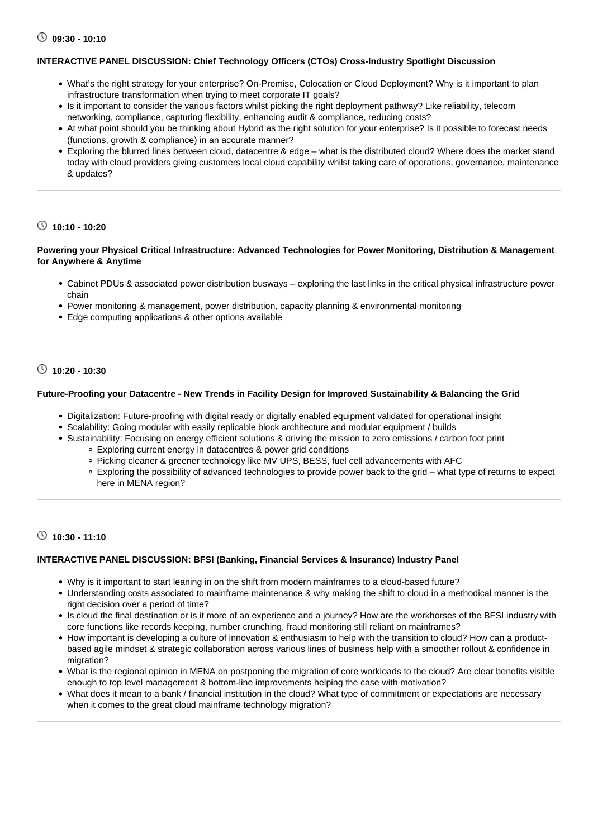### **INTERACTIVE PANEL DISCUSSION: Chief Technology Officers (CTOs) Cross-Industry Spotlight Discussion**

- What's the right strategy for your enterprise? On-Premise, Colocation or Cloud Deployment? Why is it important to plan infrastructure transformation when trying to meet corporate IT goals?
- Is it important to consider the various factors whilst picking the right deployment pathway? Like reliability, telecom networking, compliance, capturing flexibility, enhancing audit & compliance, reducing costs?
- At what point should you be thinking about Hybrid as the right solution for your enterprise? Is it possible to forecast needs (functions, growth & compliance) in an accurate manner?
- Exploring the blurred lines between cloud, datacentre & edge what is the distributed cloud? Where does the market stand today with cloud providers giving customers local cloud capability whilst taking care of operations, governance, maintenance & updates?

## **10:10 - 10:20**

### **Powering your Physical Critical Infrastructure: Advanced Technologies for Power Monitoring, Distribution & Management for Anywhere & Anytime**

- Cabinet PDUs & associated power distribution busways exploring the last links in the critical physical infrastructure power chain
- Power monitoring & management, power distribution, capacity planning & environmental monitoring
- Edge computing applications & other options available

# **10:20 - 10:30**

### **Future-Proofing your Datacentre - New Trends in Facility Design for Improved Sustainability & Balancing the Grid**

- Digitalization: Future-proofing with digital ready or digitally enabled equipment validated for operational insight
- Scalability: Going modular with easily replicable block architecture and modular equipment / builds
- Sustainability: Focusing on energy efficient solutions & driving the mission to zero emissions / carbon foot print Exploring current energy in datacentres & power grid conditions
	- Picking cleaner & greener technology like MV UPS, BESS, fuel cell advancements with AFC
	- Exploring the possibility of advanced technologies to provide power back to the grid what type of returns to expect here in MENA region?

# **10:30 - 11:10**

### **INTERACTIVE PANEL DISCUSSION: BFSI (Banking, Financial Services & Insurance) Industry Panel**

- Why is it important to start leaning in on the shift from modern mainframes to a cloud-based future?
- Understanding costs associated to mainframe maintenance & why making the shift to cloud in a methodical manner is the right decision over a period of time?
- Is cloud the final destination or is it more of an experience and a journey? How are the workhorses of the BFSI industry with core functions like records keeping, number crunching, fraud monitoring still reliant on mainframes?
- How important is developing a culture of innovation & enthusiasm to help with the transition to cloud? How can a productbased agile mindset & strategic collaboration across various lines of business help with a smoother rollout & confidence in migration?
- What is the regional opinion in MENA on postponing the migration of core workloads to the cloud? Are clear benefits visible enough to top level management & bottom-line improvements helping the case with motivation?
- What does it mean to a bank / financial institution in the cloud? What type of commitment or expectations are necessary when it comes to the great cloud mainframe technology migration?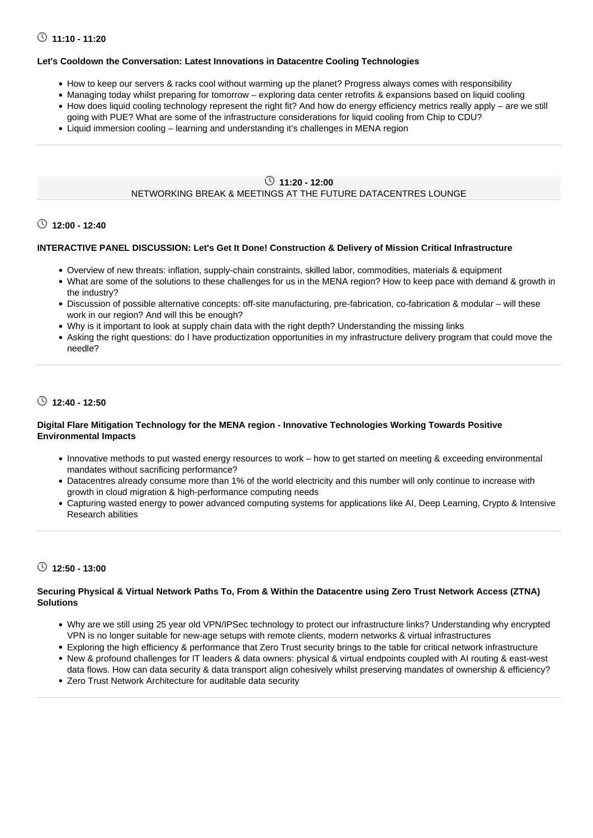# **11:10 - 11:20**

### **Let's Cooldown the Conversation: Latest Innovations in Datacentre Cooling Technologies**

- How to keep our servers & racks cool without warming up the planet? Progress always comes with responsibility
- Managing today whilst preparing for tomorrow exploring data center retrofits & expansions based on liquid cooling
- How does liquid cooling technology represent the right fit? And how do energy efficiency metrics really apply are we still going with PUE? What are some of the infrastructure considerations for liquid cooling from Chip to CDU?
- Liquid immersion cooling learning and understanding it's challenges in MENA region

# **11:20 - 12:00**

### NETWORKING BREAK & MEETINGS AT THE FUTURE DATACENTRES LOUNGE

### **12:00 - 12:40**

### **INTERACTIVE PANEL DISCUSSION: Let's Get It Done! Construction & Delivery of Mission Critical Infrastructure**

- Overview of new threats: inflation, supply-chain constraints, skilled labor, commodities, materials & equipment
- What are some of the solutions to these challenges for us in the MENA region? How to keep pace with demand & growth in the industry?
- Discussion of possible alternative concepts: off-site manufacturing, pre-fabrication, co-fabrication & modular will these work in our region? And will this be enough?
- Why is it important to look at supply chain data with the right depth? Understanding the missing links
- Asking the right questions: do I have productization opportunities in my infrastructure delivery program that could move the needle?

# **12:40 - 12:50**

### **Digital Flare Mitigation Technology for the MENA region - Innovative Technologies Working Towards Positive Environmental Impacts**

- Innovative methods to put wasted energy resources to work how to get started on meeting & exceeding environmental mandates without sacrificing performance?
- Datacentres already consume more than 1% of the world electricity and this number will only continue to increase with growth in cloud migration & high-performance computing needs
- Capturing wasted energy to power advanced computing systems for applications like AI, Deep Learning, Crypto & Intensive Research abilities

# **12:50 - 13:00**

### **Securing Physical & Virtual Network Paths To, From & Within the Datacentre using Zero Trust Network Access (ZTNA) Solutions**

- Why are we still using 25 year old VPN/IPSec technology to protect our infrastructure links? Understanding why encrypted VPN is no longer suitable for new-age setups with remote clients, modern networks & virtual infrastructures
- Exploring the high efficiency & performance that Zero Trust security brings to the table for critical network infrastructure
- New & profound challenges for IT leaders & data owners: physical & virtual endpoints coupled with AI routing & east-west data flows. How can data security & data transport align cohesively whilst preserving mandates of ownership & efficiency?
- Zero Trust Network Architecture for auditable data security